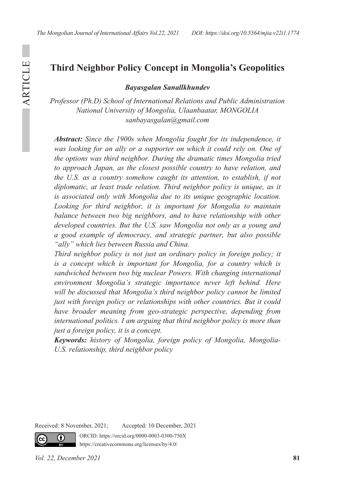# **Third Neighbor Policy Concept in Mongolia's Geopolitics**

*Bayasgalan Sanallkhundev*

*Professor (Ph.D) School of International Relations and Public Administration National University of Mongolia, Ulaanbaatar, MONGOLIA sanbayasgalan@gmail.com*

*Abstract: Since the 1900s when Mongolia fought for its independence, it was looking for an ally or a supporter on which it could rely on. One of the options was third neighbor. During the dramatic times Mongolia tried to approach Japan, as the closest possible country to have relation, and the U.S. as a country somehow caught its attention, to establish, if not diplomatic, at least trade relation. Third neighbor policy is unique, as it is associated only with Mongolia due to its unique geographic location. Looking for third neighbor, it is important for Mongolia to maintain balance between two big neighbors, and to have relationship with other developed countries. But the U.S. saw Mongolia not only as a young and a good example of democracy, and strategic partner, but also possible "ally" which lies between Russia and China.*

*Third neighbor policy is not just an ordinary policy in foreign policy; it is a concept which is important for Mongolia, for a country which is sandwiched between two big nuclear Powers. With changing international environment Mongolia's strategic importance never left behind. Here will be discussed that Mongolia's third neighbor policy cannot be limited just with foreign policy or relationships with other countries. But it could have broader meaning from geo-strategic perspective, depending from international politics. I am arguing that third neighbor policy is more than just a foreign policy, it is a concept.*

*Keywords: history of Mongolia, foreign policy of Mongolia, Mongolia-U.S. relationship, third neighbor policy*

Received: 8 November, 2021; Accepted: 10 December, 2021

ORCID: https://orcid.org/0000-0003-0300-750X https://creativecommons.org/licenses/by/4.0/

Œ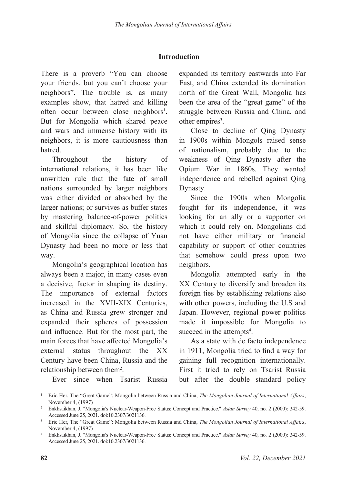## **Introduction**

There is a proverb "You can choose your friends, but you can't choose your neighbors". The trouble is, as many examples show, that hatred and killing often occur between close neighbors<sup>1</sup>. But for Mongolia which shared peace and wars and immense history with its neighbors, it is more cautiousness than hatred.

Throughout the history of international relations, it has been like unwritten rule that the fate of small nations surrounded by larger neighbors was either divided or absorbed by the larger nations; or survives as buffer states by mastering balance-of-power politics and skillful diplomacy. So, the history of Mongolia since the collapse of Yuan Dynasty had been no more or less that way.

Mongolia's geographical location has always been a major, in many cases even a decisive, factor in shaping its destiny. The importance of external factors increased in the XVII-XIX Centuries, as China and Russia grew stronger and expanded their spheres of possession and influence. But for the most part, the main forces that have affected Mongolia's external status throughout the XX Century have been China, Russia and the relationship between them<sup>2</sup>.

expanded its territory eastwards into Far East, and China extended its domination north of the Great Wall, Mongolia has been the area of the "great game" of the struggle between Russia and China, and other empires<sup>3</sup>.

Close to decline of Qing Dynasty in 1900s within Mongols raised sense of nationalism, probably due to the weakness of Qing Dynasty after the Opium War in 1860s. They wanted independence and rebelled against Qing Dynasty.

Since the 1900s when Mongolia fought for its independence, it was looking for an ally or a supporter on which it could rely on. Mongolians did not have either military or financial capability or support of other countries that somehow could press upon two neighbors.

Mongolia attempted early in the XX Century to diversify and broaden its foreign ties by establishing relations also with other powers, including the U.S and Japan. However, regional power politics made it impossible for Mongolia to succeed in the attempts<sup>4</sup>.

As a state with de facto independence in 1911, Mongolia tried to find a way for gaining full recognition internationally. First it tried to rely on Tsarist Russia but after the double standard policy

Ever since when Tsarist Russia

<sup>1</sup> Eric Her, The "Great Game": Mongolia between Russia and China, *The Mongolian Journal of International Affairs*, November 4, (1997)

<sup>2</sup> Enkhsaikhan, J. "Mongolia's Nuclear-Weapon-Free Status: Concept and Practice." *Asian Survey* 40, no. 2 (2000): 342-59. Accessed June 25, 2021. doi:10.2307/3021136.

<sup>3</sup> Eric Her, The "Great Game": Mongolia between Russia and China, *The Mongolian Journal of International Affairs*, November 4, (1997)

<sup>4</sup> Enkhsaikhan, J. "Mongolia's Nuclear-Weapon-Free Status: Concept and Practice." *Asian Survey* 40, no. 2 (2000): 342-59. Accessed June 25, 2021. doi:10.2307/3021136.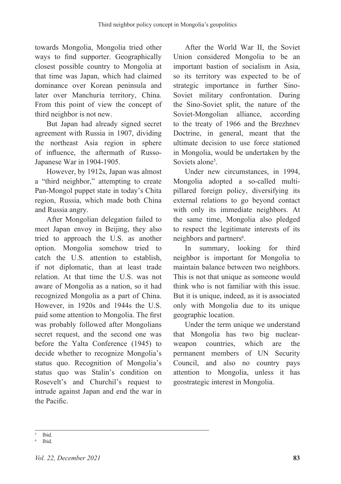towards Mongolia, Mongolia tried other ways to find supporter. Geographically closest possible country to Mongolia at that time was Japan, which had claimed dominance over Korean peninsula and later over Manchuria territory, China. From this point of view the concept of third neighbor is not new.

But Japan had already signed secret agreement with Russia in 1907, dividing the northeast Asia region in sphere of influence, the aftermath of Russo-Japanese War in 1904-1905.

However, by 1912s, Japan was almost a "third neighbor," attempting to create Pan-Mongol puppet state in today's Chita region, Russia, which made both China and Russia angry.

After Mongolian delegation failed to meet Japan envoy in Beijing, they also tried to approach the U.S. as another option. Mongolia somehow tried to catch the U.S. attention to establish, if not diplomatic, than at least trade relation. At that time the U.S. was not aware of Mongolia as a nation, so it had recognized Mongolia as a part of China. However, in 1920s and 1944s the U.S. paid some attention to Mongolia. The first was probably followed after Mongolians secret request, and the second one was before the Yalta Conference (1945) to decide whether to recognize Mongolia's status quo. Recognition of Mongolia's status quo was Stalin's condition on Rosevelt's and Churchil's request to intrude against Japan and end the war in the Pacific.

After the World War II, the Soviet Union considered Mongolia to be an important bastion of socialism in Asia, so its territory was expected to be of strategic importance in further Sino-Soviet military confrontation. During the Sino-Soviet split, the nature of the Soviet-Mongolian alliance, according to the treaty of 1966 and the Brezhnev Doctrine, in general, meant that the ultimate decision to use force stationed in Mongolia, would be undertaken by the Soviets alone<sup>5</sup>.

Under new circumstances, in 1994, Mongolia adopted a so-called multipillared foreign policy, diversifying its external relations to go beyond contact with only its immediate neighbors. At the same time, Mongolia also pledged to respect the legitimate interests of its neighbors and partners<sup>6</sup>.

In summary, looking for third neighbor is important for Mongolia to maintain balance between two neighbors. This is not that unique as someone would think who is not familiar with this issue. But it is unique, indeed, as it is associated only with Mongolia due to its unique geographic location.

Under the term unique we understand that Mongolia has two big nuclearweapon countries, which are the permanent members of UN Security Council, and also no country pays attention to Mongolia, unless it has geostrategic interest in Mongolia.

<sup>5</sup> Ibid.

Ibid.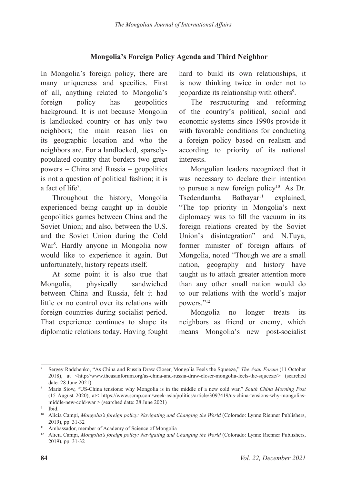### **Mongolia's Foreign Policy Agenda and Third Neighbor**

In Mongolia's foreign policy, there are many uniqueness and specifics. First of all, anything related to Mongolia's foreign policy has geopolitics background. It is not because Mongolia is landlocked country or has only two neighbors; the main reason lies on its geographic location and who the neighbors are. For a landlocked, sparselypopulated country that borders two great powers – China and Russia – geopolitics is not a question of political fashion; it is a fact of life<sup>7</sup>.

Throughout the history, Mongolia experienced being caught up in double geopolitics games between China and the Soviet Union; and also, between the U.S. and the Soviet Union during the Cold War8 . Hardly anyone in Mongolia now would like to experience it again. But unfortunately, history repeats itself.

At some point it is also true that Mongolia, physically sandwiched between China and Russia, felt it had little or no control over its relations with foreign countries during socialist period. That experience continues to shape its diplomatic relations today. Having fought hard to build its own relationships, it is now thinking twice in order not to jeopardize its relationship with others<sup>9</sup>.

The restructuring and reforming of the country's political, social and economic systems since 1990s provide it with favorable conditions for conducting a foreign policy based on realism and according to priority of its national interests.

Mongolian leaders recognized that it was necessary to declare their intention to pursue a new foreign policy $10$ . As Dr.  $T$ sedendamba Batbayar<sup>11</sup> explained, "The top priority in Mongolia's next diplomacy was to fill the vacuum in its foreign relations created by the Soviet Union's disintegration" and N.Tuya, former minister of foreign affairs of Mongolia, noted "Though we are a small nation, geography and history have taught us to attach greater attention more than any other small nation would do to our relations with the world's major powers."12

Mongolia no longer treats its neighbors as friend or enemy, which means Mongolia's new post-socialist

<sup>7</sup> Sergey Radchenko, "As China and Russia Draw Closer, Mongolia Feels the Squeeze," *The Asan Forum* (11 October 2018), at <http://www.theasanforum.org/as-china-and-russia-draw-closer-mongolia-feels-the-squeeze/> (searched date: 28 June 2021)

<sup>8</sup> Maria Siow, "US-China tensions: why Mongolia is in the middle of a new cold war," *South China Morning Post*  (15 August 2020), at< https://www.scmp.com/week-asia/politics/article/3097419/us-china-tensions-why-mongoliasmiddle-new-cold-war > (searched date: 28 June 2021)

<sup>9</sup> Ibid.

<sup>&</sup>lt;sup>10</sup> Alicia Campi, *Mongolia's foreign policy: Navigating and Changing the World* (Colorado: Lynne Rienner Publishers, 2019), pp. 31-32

<sup>&</sup>lt;sup>11</sup> Ambassador, member of Academy of Science of Mongolia

<sup>&</sup>lt;sup>12</sup> Alicia Campi, *Mongolia's foreign policy: Navigating and Changing the World* (Colorado: Lynne Rienner Publishers, 2019), pp. 31-32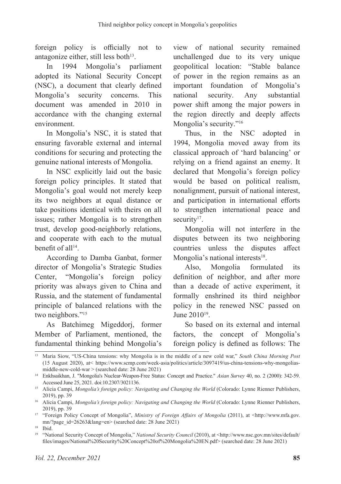foreign policy is officially not to antagonize either, still less both $13$ .

In 1994 Mongolia's parliament adopted its National Security Concept (NSC), a document that clearly defined Mongolia's security concerns. This document was amended in 2010 in accordance with the changing external environment.

In Mongolia's NSC, it is stated that ensuring favorable external and internal conditions for securing and protecting the genuine national interests of Mongolia.

In NSC explicitly laid out the basic foreign policy principles. It stated that Mongolia's goal would not merely keep its two neighbors at equal distance or take positions identical with theirs on all issues; rather Mongolia is to strengthen trust, develop good-neighborly relations, and cooperate with each to the mutual benefit of all<sup>14</sup>.

According to Damba Ganbat, former director of Mongolia's Strategic Studies Center, "Mongolia's foreign policy priority was always given to China and Russia, and the statement of fundamental principle of balanced relations with the two neighbors."<sup>15</sup>

As Batchimeg Migeddorj, former Member of Parliament, mentioned, the fundamental thinking behind Mongolia's

view of national security remained unchallenged due to its very unique geopolitical location: "Stable balance of power in the region remains as an important foundation of Mongolia's national security. Any substantial power shift among the major powers in the region directly and deeply affects Mongolia's security."<sup>16</sup>

Thus, in the NSC adopted in 1994, Mongolia moved away from its classical approach of 'hard balancing' or relying on a friend against an enemy. It declared that Mongolia's foreign policy would be based on political realism, nonalignment, pursuit of national interest, and participation in international efforts to strengthen international peace and security<sup>17</sup>.

Mongolia will not interfere in the disputes between its two neighboring countries unless the disputes affect Mongolia's national interests<sup>18</sup>.

Also, Mongolia formulated its definition of neighbor, and after more than a decade of active experiment, it formally enshrined its third neighbor policy in the renewed NSC passed on June 201019.

So based on its external and internal factors, the concept of Mongolia's foreign policy is defined as follows: The

<sup>13</sup> Maria Siow, "US-China tensions: why Mongolia is in the middle of a new cold war," *South China Morning Post*  (15 August 2020), at< https://www.scmp.com/week-asia/politics/article/3097419/us-china-tensions-why-mongoliasmiddle-new-cold-war > (searched date: 28 June 2021)

<sup>14</sup> Enkhsaikhan, J. "Mongolia's Nuclear-Weapon-Free Status: Concept and Practice." *Asian Survey* 40, no. 2 (2000): 342-59. Accessed June 25, 2021. doi:10.2307/3021136.

<sup>&</sup>lt;sup>15</sup> Alicia Campi, *Mongolia's foreign policy: Navigating and Changing the World* (Colorado: Lynne Rienner Publishers, 2019), pp. 39

<sup>&</sup>lt;sup>16</sup> Alicia Campi, *Mongolia's foreign policy: Navigating and Changing the World* (Colorado: Lynne Rienner Publishers, 2019), pp. 39

<sup>17</sup> "Foreign Policy Concept of Mongolia", *Ministry of Foreign Affairs of Mongolia* (2011), at <http://www.mfa.gov. mn/?page\_id=26263&lang=en> (searched date: 28 June 2021)

<sup>18</sup> Ibid.

<sup>19</sup> "National Security Concept of Mongolia," *National Security Council* (2010), at <http://www.nsc.gov.mn/sites/default/ files/images/National%20Security%20Concept%20of%20Mongolia%20EN.pdf> (searched date: 28 June 2021)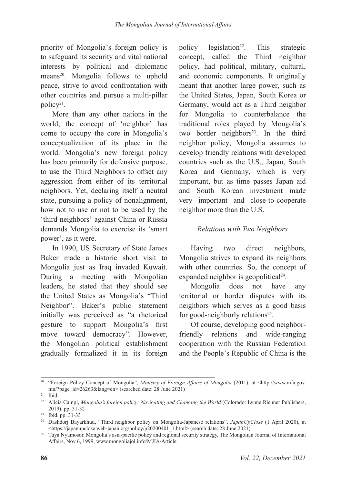priority of Mongolia's foreign policy is to safeguard its security and vital national interests by political and diplomatic means<sup>20</sup>. Mongolia follows to uphold peace, strive to avoid confrontation with other countries and pursue a multi-pillar policy<sup>21</sup>.

More than any other nations in the world, the concept of 'neighbor' has come to occupy the core in Mongolia's conceptualization of its place in the world. Mongolia's new foreign policy has been primarily for defensive purpose, to use the Third Neighbors to offset any aggression from either of its territorial neighbors. Yet, declaring itself a neutral state, pursuing a policy of nonalignment, how not to use or not to be used by the 'third neighbors' against China or Russia demands Mongolia to exercise its 'smart power', as it were.

In 1990, US Secretary of State James Baker made a historic short visit to Mongolia just as Iraq invaded Kuwait. During a meeting with Mongolian leaders, he stated that they should see the United States as Mongolia's "Third Neighbor". Baker's public statement initially was perceived as "a rhetorical gesture to support Mongolia's first move toward democracy". However, the Mongolian political establishment gradually formalized it in its foreign

policy legislation<sup>22</sup>. This strategic concept, called the Third neighbor policy, had political, military, cultural, and economic components. It originally meant that another large power, such as the United States, Japan, South Korea or Germany, would act as a Third neighbor for Mongolia to counterbalance the traditional roles played by Mongolia's two border neighbors<sup>23</sup>. In the third neighbor policy, Mongolia assumes to develop friendly relations with developed countries such as the U.S., Japan, South Korea and Germany, which is very important, but as time passes Japan aid and South Korean investment made very important and close-to-cooperate neighbor more than the U.S.

## *Relations with Two Neighbors*

Having two direct neighbors, Mongolia strives to expand its neighbors with other countries. So, the concept of expanded neighbor is geopolitical<sup>24</sup>.

Mongolia does not have any territorial or border disputes with its neighbors which serves as a good basis for good-neighborly relations<sup>25</sup>.

Of course, developing good neighborfriendly relations and wide-ranging cooperation with the Russian Federation and the People's Republic of China is the

<sup>&</sup>lt;sup>20</sup> "Foreign Policy Concept of Mongolia", *Ministry of Foreign Affairs of Mongolia* (2011), at <http://www.mfa.gov. mn/?page\_id=26263&lang=en> (searched date: 28 June 2021)

<sup>21</sup> Ibid.

<sup>&</sup>lt;sup>22</sup> Alicia Campi, *Mongolia's foreign policy: Navigating and Changing the World* (Colorado: Lynne Rienner Publishers, 2019), pp. 31-32

<sup>23</sup> Ibid. pp. 31-33

<sup>24</sup> Dashdorj Bayarkhuu, "Third neighbor policy on Mongolia-Japanese relations", *JapanUpClose* (1 April 2020), at <https://japanupclose.web-japan.org/policy/p20200401\_1.html> (search date: 28 June 2021)

<sup>&</sup>lt;sup>25</sup> Tuya Nyamosor, Mongolia's asia-pacific policy and regional security strategy, The Mongolian Journal of International Affairs, Nov 6, 1999, www.mongoliajol.info/MJIA/Article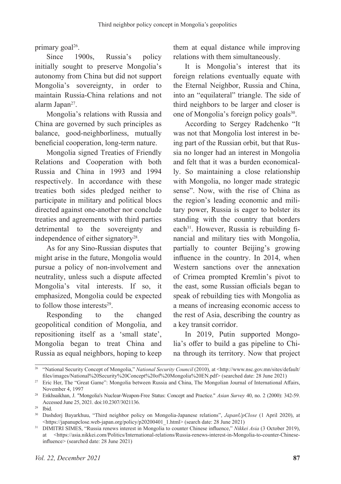primary goal<sup>26</sup>.

Since 1900s, Russia's policy initially sought to preserve Mongolia's autonomy from China but did not support Mongolia's sovereignty, in order to maintain Russia-China relations and not alarm Japan<sup>27</sup>.

Mongolia's relations with Russia and China are governed by such principles as balance, good-neighborliness, mutually beneficial cooperation, long-term nature.

Mongolia signed Treaties of Friendly Relations and Cooperation with both Russia and China in 1993 and 1994 respectively. In accordance with these treaties both sides pledged neither to participate in military and political blocs directed against one-another nor conclude treaties and agreements with third parties detrimental to the sovereignty and independence of either signatory<sup>28</sup>.

As for any Sino-Russian disputes that might arise in the future, Mongolia would pursue a policy of non-involvement and neutrality, unless such a dispute affected Mongolia's vital interests. If so, it emphasized, Mongolia could be expected to follow those interests<sup>29</sup>.

Responding to the changed geopolitical condition of Mongolia, and repositioning itself as a 'small state', Mongolia began to treat China and Russia as equal neighbors, hoping to keep

them at equal distance while improving relations with them simultaneously.

It is Mongolia's interest that its foreign relations eventually equate with the Eternal Neighbor, Russia and China, into an "equilateral" triangle. The side of third neighbors to be larger and closer is one of Mongolia's foreign policy goals<sup>30</sup>.

According to Sergey Radchenko "It was not that Mongolia lost interest in being part of the Russian orbit, but that Russia no longer had an interest in Mongolia and felt that it was a burden economically. So maintaining a close relationship with Mongolia, no longer made strategic sense". Now, with the rise of China as the region's leading economic and military power, Russia is eager to bolster its standing with the country that borders each<sup>31</sup>. However, Russia is rebuilding financial and military ties with Mongolia, partially to counter Beijing's growing influence in the country. In 2014, when Western sanctions over the annexation of Crimea prompted Kremlin's pivot to the east, some Russian officials began to speak of rebuilding ties with Mongolia as a means of increasing economic access to the rest of Asia, describing the country as a key transit corridor.

In 2019, Putin supported Mongolia's offer to build a gas pipeline to China through its territory. Now that project

<sup>&</sup>lt;sup>26</sup> "National Security Concept of Mongolia," *National Security Council* (2010), at <http://www.nsc.gov.mn/sites/default/ files/images/National%20Security%20Concept%20of%20Mongolia%20EN.pdf> (searched date: 28 June 2021)

<sup>&</sup>lt;sup>27</sup> Eric Her, The "Great Game": Mongolia between Russia and China, The Mongolian Journal of International Affairs, November 4, 1997 28 Enkhsaikhan, J. "Mongolia's Nuclear-Weapon-Free Status: Concept and Practice." *Asian Survey* 40, no. 2 (2000): 342-59.

Accessed June 25, 2021. doi:10.2307/3021136.

<sup>29</sup> Ibid.

<sup>30</sup> Dashdorj Bayarkhuu, "Third neighbor policy on Mongolia-Japanese relations", *JapanUpClose* (1 April 2020), at <https://japanupclose.web-japan.org/policy/p20200401\_1.html> (search date: 28 June 2021)

<sup>31</sup> DIMITRI SIMES, "Russia renews interest in Mongolia to counter Chinese influence," *Nikkei Asia* (3 October 2019), at <https://asia.nikkei.com/Politics/International-relations/Russia-renews-interest-in-Mongolia-to-counter-Chineseinfluence> (searched date: 28 June 2021)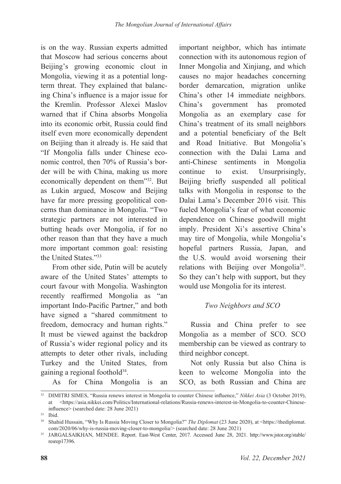is on the way. Russian experts admitted that Moscow had serious concerns about Beijing's growing economic clout in Mongolia, viewing it as a potential longterm threat. They explained that balancing China's influence is a major issue for the Kremlin. Professor Alexei Maslov warned that if China absorbs Mongolia into its economic orbit, Russia could find itself even more economically dependent on Beijing than it already is. He said that "If Mongolia falls under Chinese economic control, then 70% of Russia's border will be with China, making us more economically dependent on them"32. But as Lukin argued, Moscow and Beijing have far more pressing geopolitical concerns than dominance in Mongolia. "Two strategic partners are not interested in butting heads over Mongolia, if for no other reason than that they have a much more important common goal: resisting the United States."33

From other side, Putin will be acutely aware of the United States' attempts to court favour with Mongolia. Washington recently reaffirmed Mongolia as "an important Indo-Pacific Partner," and both have signed a "shared commitment to freedom, democracy and human rights." It must be viewed against the backdrop of Russia's wider regional policy and its attempts to deter other rivals, including Turkey and the United States, from gaining a regional foothold34.

As for China Mongolia is an

important neighbor, which has intimate connection with its autonomous region of Inner Mongolia and Xinjiang, and which causes no major headaches concerning border demarcation, migration unlike China's other 14 immediate neighbors. China's government has promoted Mongolia as an exemplary case for China's treatment of its small neighbors and a potential beneficiary of the Belt and Road Initiative. But Mongolia's connection with the Dalai Lama and anti-Chinese sentiments in Mongolia continue to exist. Unsurprisingly, Beijing briefly suspended all political talks with Mongolia in response to the Dalai Lama's December 2016 visit. This fueled Mongolia's fear of what economic dependence on Chinese goodwill might imply. President Xi's assertive China's may tire of Mongolia, while Mongolia's hopeful partners Russia, Japan, and the U.S. would avoid worsening their relations with Beijing over Mongolia<sup>35</sup>. So they can't help with support, but they would use Mongolia for its interest.

# *Two Neighbors and SCO*

Russia and China prefer to see Mongolia as a member of SCO. SCO membership can be viewed as contrary to third neighbor concept.

Not only Russia but also China is keen to welcome Mongolia into the SCO, as both Russian and China are

<sup>32</sup> DIMITRI SIMES, "Russia renews interest in Mongolia to counter Chinese influence," *Nikkei Asia* (3 October 2019), at <https://asia.nikkei.com/Politics/International-relations/Russia-renews-interest-in-Mongolia-to-counter-Chineseinfluence> (searched date: 28 June 2021)

<sup>33</sup> Ibid.

<sup>&</sup>lt;sup>34</sup> Shahid Hussain, "Why Is Russia Moving Closer to Mongolia?" *The Diplomat* (23 June 2020), at <https://thediplomat. com/2020/06/why-is-russia-moving-closer-to-mongolia/> (searched date: 28 June 2021)

<sup>35</sup> JARGALSAIKHAN, MENDEE. Report. East-West Center, 2017. Accessed June 28, 2021. http://www.jstor.org/stable/ resrep17396.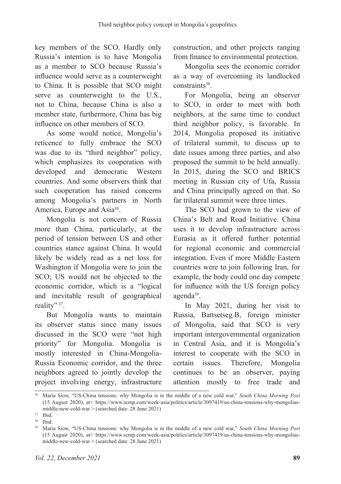key members of the SCO. Hardly only Russia's intention is to have Mongolia as a member to SCO because Russia's influence would serve as a counterweight to China. It is possible that SCO might serve as counterweight to the U.S., not to China, because China is also a member state, furthermore, China has big influence on other members of SCO.

As some would notice, Mongolia's reticence to fully embrace the SCO was due to its "third neighbor" policy, which emphasizes its cooperation with developed and democratic Western countries. And some observers think that such cooperation has raised concerns among Mongolia's partners in North America, Europe and Asia<sup>36</sup>.

Mongolia is not concern of Russia more than China, particularly, at the period of tension between US and other countries stance against China. It would likely be widely read as a net loss for Washington if Mongolia were to join the SCO; US would not be objected to the economic corridor, which is a "logical and inevitable result of geographical reality" 37.

But Mongolia wants to maintain its observer status since many issues discussed in the SCO were "not high priority" for Mongolia. Mongolia is mostly interested in China-Mongolia-Russia Economic corridor, and the three neighbors agreed to jointly develop the project involving energy, infrastructure construction, and other projects ranging from finance to environmental protection.

Mongolia sees the economic corridor as a way of overcoming its landlocked constraints<sup>38</sup>.

For Mongolia, being an observer to SCO, in order to meet with both neighbors, at the same time to conduct third neighbor policy, is favorable. In 2014, Mongolia proposed its initiative of trilateral summit, to discuss up to date issues among three parties, and also proposed the summit to be held annually. In 2015, during the SCO and BRICS meeting in Russian city of Ufa, Russia and China principally agreed on that. So far trilateral summit were three times.

The SCO had grown to the view of China's Belt and Road Initiative. China uses it to develop infrastructure across Eurasia as it offered further potential for regional economic and commercial integration. Even if more Middle Eastern countries were to join following Iran, for example, the body could one day compete for influence with the US foreign policy agenda<sup>39</sup>.

In May 2021, during her visit to Russia, Battsetseg.B, foreign minister of Mongolia, said that SCO is very important intergovernmental organization in Central Asia, and it is Mongolia's interest to cooperate with the SCO in certain issues. Therefore, Mongolia continues to be an observer, paying attention mostly to free trade and

<sup>36</sup> Maria Siow, "US-China tensions: why Mongolia is in the middle of a new cold war," *South China Morning Post*  (15 August 2020), at< https://www.scmp.com/week-asia/politics/article/3097419/us-china-tensions-why-mongoliasmiddle-new-cold-war > (searched date: 28 June 2021)

<sup>37</sup> Ibid.

 $38$  Ibid.<br> $39$  Mori <sup>39</sup> Maria Siow, "US-China tensions: why Mongolia is in the middle of a new cold war," *South China Morning Post*  (15 August 2020), at< https://www.scmp.com/week-asia/politics/article/3097419/us-china-tensions-why-mongoliasmiddle-new-cold-war > (searched date: 28 June 2021)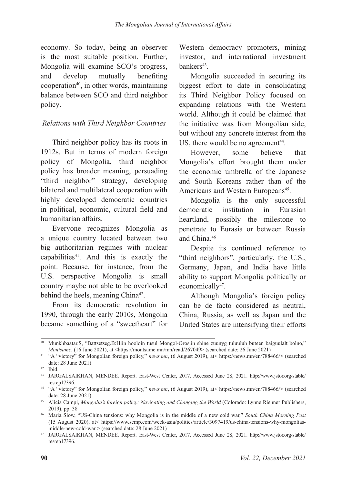economy. So today, being an observer is the most suitable position. Further, Mongolia will examine SCO's progress, and develop mutually benefiting cooperation<sup>40</sup>, in other words, maintaining balance between SCO and third neighbor policy.

#### *Relations with Third Neighbor Countries*

Third neighbor policy has its roots in 1912s. But in terms of modern foreign policy of Mongolia, third neighbor policy has broader meaning, persuading "third neighbor" strategy, developing bilateral and multilateral cooperation with highly developed democratic countries in political, economic, cultural field and humanitarian affairs.

Everyone recognizes Mongolia as a unique country located between two big authoritarian regimes with nuclear capabilities<sup>41</sup>. And this is exactly the point. Because, for instance, from the U.S. perspective Mongolia is small country maybe not able to be overlooked behind the heels, meaning China<sup>42</sup>.

From its democratic revolution in 1990, through the early 2010s, Mongolia became something of a "sweetheart" for Western democracy promoters, mining investor, and international investment bankers<sup>43</sup>

Mongolia succeeded in securing its biggest effort to date in consolidating its Third Neighbor Policy focused on expanding relations with the Western world. Although it could be claimed that the initiative was from Mongolian side, but without any concrete interest from the US, there would be no agreement<sup>44</sup>.

However, some believe that Mongolia's effort brought them under the economic umbrella of the Japanese and South Koreans rather than of the Americans and Western Europeans<sup>45</sup>.

Mongolia is the only successful democratic institution in Eurasian heartland, possibly the milestone to penetrate to Eurasia or between Russia and China.46

Despite its continued reference to "third neighbors", particularly, the U.S., Germany, Japan, and India have little ability to support Mongolia politically or economically<sup>47</sup>.

Although Mongolia's foreign policy can be de facto considered as neutral, China, Russia, as well as Japan and the United States are intensifying their efforts

<sup>40</sup> Munkhbaatar.S, "Battsetseg.B:Hiin hooloin tusul Mongol-Orosiin shine zuunyg tuluuluh buteen baiguulalt bolno," *Montsame*, (16 June 2021), at <https://montsame.mn/mn/read/267049> (searched date: 26 June 2021)

<sup>41</sup> "A "victory" for Mongolian foreign policy," *news.mn*, (6 August 2019), at< https://news.mn/en/788466/> (searched date: 28 June 2021)

<sup>42</sup> Ibid.

<sup>43</sup> JARGALSAIKHAN, MENDEE. Report. East-West Center, 2017. Accessed June 28, 2021. http://www.jstor.org/stable/ resrep17396.

<sup>44</sup> "A "victory" for Mongolian foreign policy," *news.mn*, (6 August 2019), at< https://news.mn/en/788466/> (searched date: 28 June 2021)

<sup>45</sup> Alicia Campi, *Mongolia's foreign policy: Navigating and Changing the World* (Colorado: Lynne Rienner Publishers, 2019), pp. 38

<sup>46</sup> Maria Siow, "US-China tensions: why Mongolia is in the middle of a new cold war," *South China Morning Post*  (15 August 2020), at< https://www.scmp.com/week-asia/politics/article/3097419/us-china-tensions-why-mongoliasmiddle-new-cold-war > (searched date: 28 June 2021)

<sup>47</sup> JARGALSAIKHAN, MENDEE. Report. East-West Center, 2017. Accessed June 28, 2021. http://www.jstor.org/stable/ resrep17396.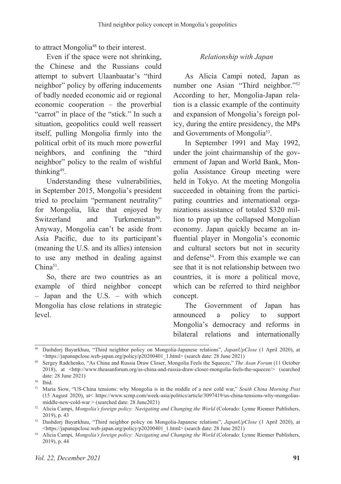to attract Mongolia<sup>48</sup> to their interest.

Even if the space were not shrinking, the Chinese and the Russians could attempt to subvert Ulaanbaatar's "third neighbor" policy by offering inducements of badly needed economic aid or regional economic cooperation – the proverbial "carrot" in place of the "stick." In such a situation, geopolitics could well reassert itself, pulling Mongolia firmly into the political orbit of its much more powerful neighbors, and confining the "third neighbor" policy to the realm of wishful thinking<sup>49</sup>.

Understanding these vulnerabilities, in September 2015, Mongolia's president tried to proclaim "permanent neutrality" for Mongolia, like that enjoyed by Switzerland and Turkmenistan<sup>50</sup>. Anyway, Mongolia can't be aside from Asia Pacific, due to its participant's (meaning the U.S. and its allies) intension to use any method in dealing against  $China<sup>51</sup>$ 

So, there are two countries as an example of third neighbor concept – Japan and the U.S. – with which Mongolia has close relations in strategic level.

### *Relationship with Japan*

As Alicia Campi noted, Japan as number one Asian "Third neighbor."52 According to her, Mongolia-Japan relation is a classic example of the continuity and expansion of Mongolia's foreign policy, during the entire presidency, the MPs and Governments of Mongolia<sup>53</sup>.

In September 1991 and May 1992, under the joint chairmanship of the government of Japan and World Bank, Mongolia Assistance Group meeting were held in Tokyo. At the meeting Mongolia succeeded in obtaining from the participating countries and international organizations assistance of totaled \$320 million to prop up the collapsed Mongolian economy. Japan quickly became an influential player in Mongolia's economic and cultural sectors but not in security and defense<sup>54</sup>. From this example we can see that it is not relationship between two countries, it is more a political move, which can be referred to third neighbor concept.

The Government of Japan has announced a policy to support Mongolia's democracy and reforms in bilateral relations and internationally

<sup>48</sup> Dashdorj Bayarkhuu, "Third neighbor policy on Mongolia-Japanese relations", *JapanUpClose* (1 April 2020), at <https://japanupclose.web-japan.org/policy/p20200401\_1.html> (search date: 28 June 2021)

<sup>49</sup> Sergey Radchenko, "As China and Russia Draw Closer, Mongolia Feels the Squeeze," *The Asan Forum* (11 October 2018), at <http://www.theasanforum.org/as-china-and-russia-draw-closer-mongolia-feels-the-squeeze/> (searched date: 28 June 2021)

<sup>50</sup> Ibid.

<sup>51</sup> Maria Siow, "US-China tensions: why Mongolia is in the middle of a new cold war," *South China Morning Post*  (15 August 2020), at< https://www.scmp.com/week-asia/politics/article/3097419/us-china-tensions-why-mongoliasmiddle-new-cold-war > (searched date: 28 June2021)

<sup>52</sup> Alicia Campi, *Mongolia's foreign policy: Navigating and Changing the World* (Colorado: Lynne Rienner Publishers, 2019), p. 43

<sup>53</sup> Dashdorj Bayarkhuu, "Third neighbor policy on Mongolia-Japanese relations", *JapanUpClose* (1 April 2020), at <https://japanupclose.web-japan.org/policy/p20200401\_1.html> (search date: 28 June 2021)

<sup>54</sup> Alicia Campi, *Mongolia's foreign policy: Navigating and Changing the World* (Colorado: Lynne Rienner Publishers, 2019), p. 44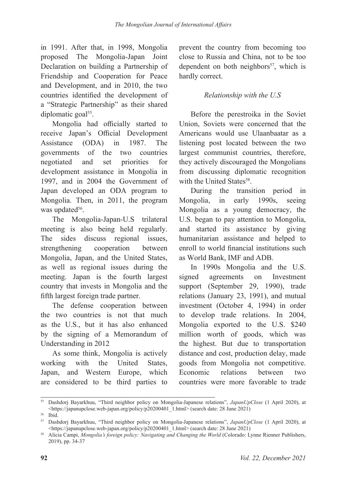in 1991. After that, in 1998, Mongolia proposed The Mongolia-Japan Joint Declaration on building a Partnership of Friendship and Cooperation for Peace and Development, and in 2010, the two countries identified the development of a "Strategic Partnership" as their shared diplomatic goal<sup>55</sup>.

Mongolia had officially started to receive Japan's Official Development Assistance (ODA) in 1987. The governments of the two countries negotiated and set priorities for development assistance in Mongolia in 1997, and in 2004 the Government of Japan developed an ODA program to Mongolia. Then, in 2011, the program was updated<sup>56</sup>.

The Mongolia-Japan-U.S trilateral meeting is also being held regularly. The sides discuss regional issues, strengthening cooperation between Mongolia, Japan, and the United States, as well as regional issues during the meeting. Japan is the fourth largest country that invests in Mongolia and the fifth largest foreign trade partner.

The defense cooperation between the two countries is not that much as the U.S., but it has also enhanced by the signing of a Memorandum of Understanding in 2012

As some think, Mongolia is actively working with the United States, Japan, and Western Europe, which are considered to be third parties to

prevent the country from becoming too close to Russia and China, not to be too dependent on both neighbors<sup>57</sup>, which is hardly correct.

## *Relationship with the U.S*

Before the perestroika in the Soviet Union, Soviets were concerned that the Americans would use Ulaanbaatar as a listening post located between the two largest communist countries, therefore, they actively discouraged the Mongolians from discussing diplomatic recognition with the United States<sup>58</sup>.

During the transition period in Mongolia, in early 1990s, seeing Mongolia as a young democracy, the U.S. began to pay attention to Mongolia, and started its assistance by giving humanitarian assistance and helped to enroll to world financial institutions such as World Bank, IMF and ADB.

In 1990s Mongolia and the U.S. signed agreements on Investment support (September 29, 1990), trade relations (January 23, 1991), and mutual investment (October 4, 1994) in order to develop trade relations. In 2004, Mongolia exported to the U.S. \$240 million worth of goods, which was the highest. But due to transportation distance and cost, production delay, made goods from Mongolia not competitive. Economic relations between two countries were more favorable to trade

<sup>55</sup> Dashdorj Bayarkhuu, "Third neighbor policy on Mongolia-Japanese relations", *JapanUpClose* (1 April 2020), at <https://japanupclose.web-japan.org/policy/p20200401\_1.html> (search date: 28 June 2021)

<sup>56</sup> Ibid.

<sup>57</sup> Dashdorj Bayarkhuu, "Third neighbor policy on Mongolia-Japanese relations", *JapanUpClose* (1 April 2020), at <https://japanupclose.web-japan.org/policy/p20200401\_1.html> (search date: 28 June 2021)

<sup>58</sup> Alicia Campi, *Mongolia's foreign policy: Navigating and Changing the World* (Colorado: Lynne Rienner Publishers, 2019), pp. 34-37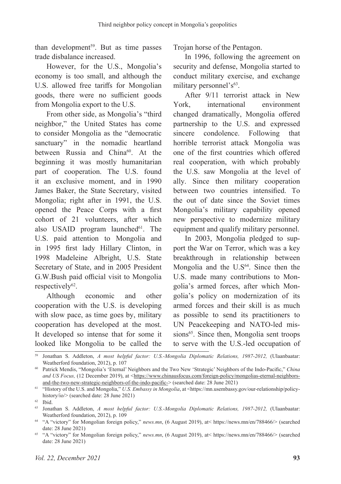than development<sup>59</sup>. But as time passes trade disbalance increased.

However, for the U.S., Mongolia's economy is too small, and although the U.S. allowed free tariffs for Mongolian goods, there were no sufficient goods from Mongolia export to the U.S.

From other side, as Mongolia's "third neighbor," the United States has come to consider Mongolia as the "democratic sanctuary" in the nomadic heartland between Russia and China<sup>60</sup>. At the beginning it was mostly humanitarian part of cooperation. The U.S. found it an exclusive moment, and in 1990 James Baker, the State Secretary, visited Mongolia; right after in 1991, the U.S. opened the Peace Corps with a first cohort of 21 volunteers, after which also USAID program launched $61$ . The U.S. paid attention to Mongolia and in 1995 first lady Hillary Clinton, in 1998 Madeleine Albright, U.S. State Secretary of State, and in 2005 President G.W.Bush paid official visit to Mongolia respectively<sup>62</sup>.

Although economic and other cooperation with the U.S. is developing with slow pace, as time goes by, military cooperation has developed at the most. It developed so intense that for some it looked like Mongolia to be called the

Trojan horse of the Pentagon.

In 1996, following the agreement on security and defense, Mongolia started to conduct military exercise, and exchange military personnel's<sup>63</sup>.

After 9/11 terrorist attack in New York, international environment changed dramatically, Mongolia offered partnership to the U.S. and expressed sincere condolence. Following that horrible terrorist attack Mongolia was one of the first countries which offered real cooperation, with which probably the U.S. saw Mongolia at the level of ally. Since then military cooperation between two countries intensified. To the out of date since the Soviet times Mongolia's military capability opened new perspective to modernize military equipment and qualify military personnel.

In 2003, Mongolia pledged to support the War on Terror, which was a key breakthrough in relationship between Mongolia and the  $U.S^{64}$ . Since then the U.S. made many contributions to Mongolia's armed forces, after which Mongolia's policy on modernization of its armed forces and their skill is as much as possible to send its practitioners to UN Peacekeeping and NATO-led missions<sup>65</sup>. Since then, Mongolia sent troops to serve with the U.S.-led occupation of

<sup>59</sup> Jonathan S. Addleton, *A most helpful factor: U.S.-Mongolia Diplomatic Relations, 1987-2012,* (Ulaanbaatar: Weatherford foundation, 2012), p. 107

<sup>60</sup> Patrick Mendis, "Mongolia's 'Eternal' Neighbors and the Two New 'Strategic' Neighbors of the Indo-Pacific," *China*  and US Focus, (12 December 2019), at <https://www.chinausfocus.com/foreign-policy/mongolias-eternal-neighborsand-the-two-new-strategic-neighbors-of-the-indo-pacific-> (searched date: 28 June 2021)

<sup>61</sup> "History of the U.S. and Mongolia," *U.S. Embassy in Mongolia*, at <https://mn.usembassy.gov/our-relationship/policyhistory/io/> (searched date: 28 June 2021)

<sup>62</sup> Ibid.

<sup>63</sup> Jonathan S. Addleton, *A most helpful factor: U.S.-Mongolia Diplomatic Relations, 1987-2012,* (Ulaanbaatar: Weatherford foundation, 2012), p. 109

<sup>64</sup> "A "victory" for Mongolian foreign policy," *news.mn*, (6 August 2019), at< https://news.mn/en/788466/> (searched date: 28 June 2021)

<sup>65</sup> "A "victory" for Mongolian foreign policy," *news.mn*, (6 August 2019), at< https://news.mn/en/788466/> (searched date: 28 June 2021)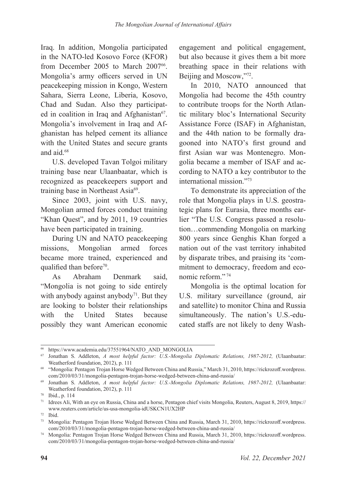Iraq. In addition, Mongolia participated in the NATO-led Kosovo Force (KFOR) from December 2005 to March 2007<sup>66</sup>. Mongolia's army officers served in UN peacekeeping mission in Kongo, Western Sahara, Sierra Leone, Liberia, Kosovo, Chad and Sudan. Also they participated in coalition in Iraq and Afghanistan $67$ . Mongolia's involvement in Iraq and Afghanistan has helped cement its alliance with the United States and secure grants and aid.<sup>68</sup>

U.S. developed Tavan Tolgoi military training base near Ulaanbaatar, which is recognized as peacekeepers support and training base in Northeast Asia<sup>69</sup>.

Since 2003, joint with U.S. navy, Mongolian armed forces conduct training "Khan Quest", and by 2011, 19 countries have been participated in training.

During UN and NATO peacekeeping missions, Mongolian armed forces became more trained, experienced and qualified than before<sup>70</sup>.

As Abraham Denmark said, "Mongolia is not going to side entirely with anybody against anybody<sup> $71$ </sup>. But they are looking to bolster their relationships with the United States because possibly they want American economic

engagement and political engagement, but also because it gives them a bit more breathing space in their relations with Beijing and Moscow,"72.

In 2010, NATO announced that Mongolia had become the 45th country to contribute troops for the North Atlantic military bloc's International Security Assistance Force (ISAF) in Afghanistan, and the 44th nation to be formally dragooned into NATO's first ground and first Asian war was Montenegro. Mongolia became a member of ISAF and according to NATO a key contributor to the international mission."73

To demonstrate its appreciation of the role that Mongolia plays in U.S. geostrategic plans for Eurasia, three months earlier "The U.S. Congress passed a resolution…commending Mongolia on marking 800 years since Genghis Khan forged a nation out of the vast territory inhabited by disparate tribes, and praising its 'commitment to democracy, freedom and economic reform." <sup>74</sup>

Mongolia is the optimal location for U.S. military surveillance (ground, air and satellite) to monitor China and Russia simultaneously. The nation's U.S.-educated staffs are not likely to deny Wash-

<sup>66</sup> https://www.academia.edu/37551964/NATO\_AND\_MONGOLIA

<sup>67</sup> Jonathan S. Addleton, *A most helpful factor: U.S.-Mongolia Diplomatic Relations, 1987-2012,* (Ulaanbaatar: Weatherford foundation, 2012), p. 111

<sup>68</sup> "Mongolia: Pentagon Trojan Horse Wedged Between China and Russia," March 31, 2010, https://rickrozoff.wordpress. com/2010/03/31/mongolia-pentagon-trojan-horse-wedged-between-china-and-russia/

<sup>69</sup> Jonathan S. Addleton, *A most helpful factor: U.S.-Mongolia Diplomatic Relations, 1987-2012,* (Ulaanbaatar: Weatherford foundation, 2012), p. 111

<sup>70</sup> Ibid., p. 114

<sup>71</sup> Idrees Ali, With an eye on Russia, China and a horse, Pentagon chief visits Mongolia, Reuters, August 8, 2019, https:// www.reuters.com/article/us-usa-mongolia-idUSKCN1UX2HP

<sup>72</sup> Ibid.

<sup>73</sup> Mongolia: Pentagon Trojan Horse Wedged Between China and Russia, March 31, 2010, https://rickrozoff.wordpress. com/2010/03/31/mongolia-pentagon-trojan-horse-wedged-between-china-and-russia/

<sup>74</sup> Mongolia: Pentagon Trojan Horse Wedged Between China and Russia, March 31, 2010, https://rickrozoff.wordpress. com/2010/03/31/mongolia-pentagon-trojan-horse-wedged-between-china-and-russia/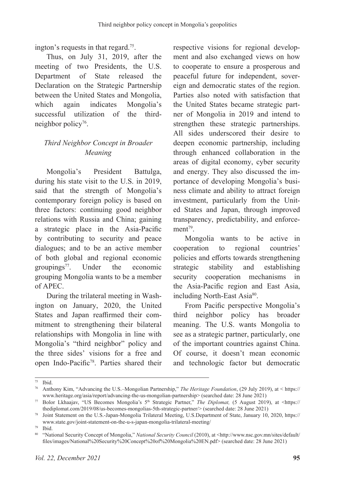ington's requests in that regard.75.

Thus, on July 31, 2019, after the meeting of two Presidents, the U.S. Department of State released the Declaration on the Strategic Partnership between the United States and Mongolia, which again indicates Mongolia's successful utilization of the thirdneighbor policy<sup>76</sup>.

# *Third Neighbor Concept in Broader Meaning*

Mongolia's President Battulga, during his state visit to the U.S. in 2019, said that the strength of Mongolia's contemporary foreign policy is based on three factors: continuing good neighbor relations with Russia and China; gaining a strategic place in the Asia-Pacific by contributing to security and peace dialogues; and to be an active member of both global and regional economic groupings $77$ . Under the economic grouping Mongolia wants to be a member of APEC.

During the trilateral meeting in Washington on January, 2020, the United States and Japan reaffirmed their commitment to strengthening their bilateral relationships with Mongolia in line with Mongolia's "third neighbor" policy and the three sides' visions for a free and open Indo-Pacific78. Parties shared their respective visions for regional development and also exchanged views on how to cooperate to ensure a prosperous and peaceful future for independent, sovereign and democratic states of the region. Parties also noted with satisfaction that the United States became strategic partner of Mongolia in 2019 and intend to strengthen these strategic partnerships. All sides underscored their desire to deepen economic partnership, including through enhanced collaboration in the areas of digital economy, cyber security and energy. They also discussed the importance of developing Mongolia's business climate and ability to attract foreign investment, particularly from the United States and Japan, through improved transparency, predictability, and enforce $ment<sup>79</sup>$ .

Mongolia wants to be active in cooperation to regional countries' policies and efforts towards strengthening strategic stability and establishing security cooperation mechanisms in the Asia-Pacific region and East Asia, including North-East Asia<sup>80</sup>.

From Pacific perspective Mongolia's third neighbor policy has broader meaning. The U.S. wants Mongolia to see as a strategic partner, particularly, one of the important countries against China. Of course, it doesn't mean economic and technologic factor but democratic

<sup>75</sup> Ibid.

<sup>76</sup> Anthony Kim, "Advancing the U.S.–Mongolian Partnership," *The Heritage Foundation*, (29 July 2019), at < https:// www.heritage.org/asia/report/advancing-the-us-mongolian-partnership> (searched date: 28 June 2021)

<sup>&</sup>lt;sup>77</sup> Bolor Lkhaajav, "US Becomes Mongolia's 5<sup>th</sup> Strategic Partner," *The Diplomat,* (5 August 2019), at <https:// thediplomat.com/2019/08/us-becomes-mongolias-5th-strategic-partner/> (searched date: 28 June 2021)

<sup>78</sup> Joint Statement on the U.S.-Japan-Mongolia Trilateral Meeting, U.S.Department of State, January 10, 2020, https:// www.state.gov/joint-statement-on-the-u-s-japan-mongolia-trilateral-meeting/

<sup>79</sup> Ibid.

<sup>80</sup> "National Security Concept of Mongolia," *National Security Council* (2010), at <http://www.nsc.gov.mn/sites/default/ files/images/National%20Security%20Concept%20of%20Mongolia%20EN.pdf> (searched date: 28 June 2021)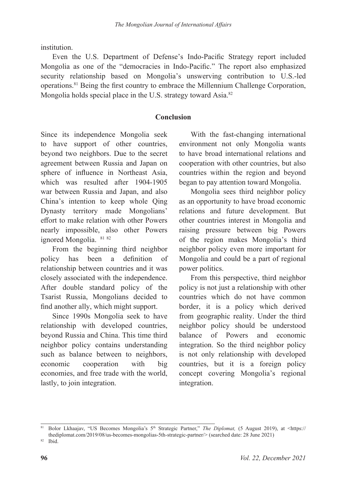institution.

Even the U.S. Department of Defense's Indo-Pacific Strategy report included Mongolia as one of the "democracies in Indo-Pacific." The report also emphasized security relationship based on Mongolia's unswerving contribution to U.S.-led operations.81 Being the first country to embrace the Millennium Challenge Corporation, Mongolia holds special place in the U.S. strategy toward Asia.<sup>82</sup>

#### **Conclusion**

Since its independence Mongolia seek to have support of other countries, beyond two neighbors. Due to the secret agreement between Russia and Japan on sphere of influence in Northeast Asia, which was resulted after 1904-1905 war between Russia and Japan, and also China's intention to keep whole Qing Dynasty territory made Mongolians' effort to make relation with other Powers nearly impossible, also other Powers ignored Mongolia. 81 <sup>82</sup>

From the beginning third neighbor policy has been a definition of relationship between countries and it was closely associated with the independence. After double standard policy of the Tsarist Russia, Mongolians decided to find another ally, which might support.

Since 1990s Mongolia seek to have relationship with developed countries, beyond Russia and China. This time third neighbor policy contains understanding such as balance between to neighbors, economic cooperation with big economies, and free trade with the world, lastly, to join integration.

With the fast-changing international environment not only Mongolia wants to have broad international relations and cooperation with other countries, but also countries within the region and beyond began to pay attention toward Mongolia.

Mongolia sees third neighbor policy as an opportunity to have broad economic relations and future development. But other countries interest in Mongolia and raising pressure between big Powers of the region makes Mongolia's third neighbor policy even more important for Mongolia and could be a part of regional power politics.

From this perspective, third neighbor policy is not just a relationship with other countries which do not have common border, it is a policy which derived from geographic reality. Under the third neighbor policy should be understood balance of Powers and economic integration. So the third neighbor policy is not only relationship with developed countries, but it is a foreign policy concept covering Mongolia's regional integration.

<sup>81</sup> Bolor Lkhaajav, "US Becomes Mongolia's 5<sup>th</sup> Strategic Partner," *The Diplomat*, (5 August 2019), at <https:// thediplomat.com/2019/08/us-becomes-mongolias-5th-strategic-partner/> (searched date: 28 June 2021)

<sup>82</sup> Ibid.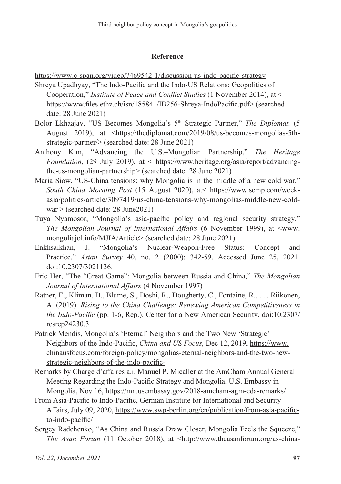#### **Reference**

https://www.c-span.org/video/?469542-1/discussion-us-indo-pacific-strategy

- Shreya Upadhyay, "The Indo-Pacific and the Indo-US Relations: Geopolitics of Cooperation," *Institute of Peace and Conflict Studies* (1 November 2014), at < https://www.files.ethz.ch/isn/185841/IB256-Shreya-IndoPacific.pdf> (searched date: 28 June 2021)
- Bolor Lkhaajav, "US Becomes Mongolia's 5<sup>th</sup> Strategic Partner," *The Diplomat*, (5 August 2019), at <https://thediplomat.com/2019/08/us-becomes-mongolias-5thstrategic-partner/> (searched date: 28 June 2021)
- Anthony Kim, "Advancing the U.S.–Mongolian Partnership," *The Heritage Foundation*, (29 July 2019), at < https://www.heritage.org/asia/report/advancingthe-us-mongolian-partnership> (searched date: 28 June 2021)
- Maria Siow, "US-China tensions: why Mongolia is in the middle of a new cold war," *South China Morning Post* (15 August 2020), at< https://www.scmp.com/weekasia/politics/article/3097419/us-china-tensions-why-mongolias-middle-new-coldwar > (searched date: 28 June2021)
- Tuya Nyamosor, "Mongolia's asia-pacific policy and regional security strategy," *The Mongolian Journal of International Affairs* (6 November 1999), at <www. mongoliajol.info/MJIA/Article> (searched date: 28 June 2021)
- Enkhsaikhan, J. "Mongolia's Nuclear-Weapon-Free Status: Concept and Practice." *Asian Survey* 40, no. 2 (2000): 342-59. Accessed June 25, 2021. doi:10.2307/3021136.
- Eric Her, "The "Great Game": Mongolia between Russia and China," *The Mongolian Journal of International Affairs* (4 November 1997)
- Ratner, E., Kliman, D., Blume, S., Doshi, R., Dougherty, C., Fontaine, R., . . . Riikonen, A. (2019). *Rising to the China Challenge: Renewing American Competitiveness in the Indo-Pacific* (pp. 1-6, Rep.). Center for a New American Security. doi:10.2307/ resrep24230.3
- Patrick Mendis, Mongolia's 'Eternal' Neighbors and the Two New 'Strategic' Neighbors of the Indo-Pacific, *China and US Focus,* Dec 12, 2019, https://www. chinausfocus.com/foreign-policy/mongolias-eternal-neighbors-and-the-two-newstrategic-neighbors-of-the-indo-pacific-
- Remarks by Chargé d'affaires a.i. Manuel P. Micaller at the AmCham Annual General Meeting Regarding the Indo-Pacific Strategy and Mongolia, U.S. Embassy in Mongolia, Nov 16, https://mn.usembassy.gov/2018-amcham-agm-cda-remarks/
- From Asia-Pacific to Indo-Pacific, German Institute for International and Security Affairs, July 09, 2020, https://www.swp-berlin.org/en/publication/from-asia-pacificto-indo-pacific/
- Sergey Radchenko, "As China and Russia Draw Closer, Mongolia Feels the Squeeze," *The Asan Forum* (11 October 2018), at <http://www.theasanforum.org/as-china-